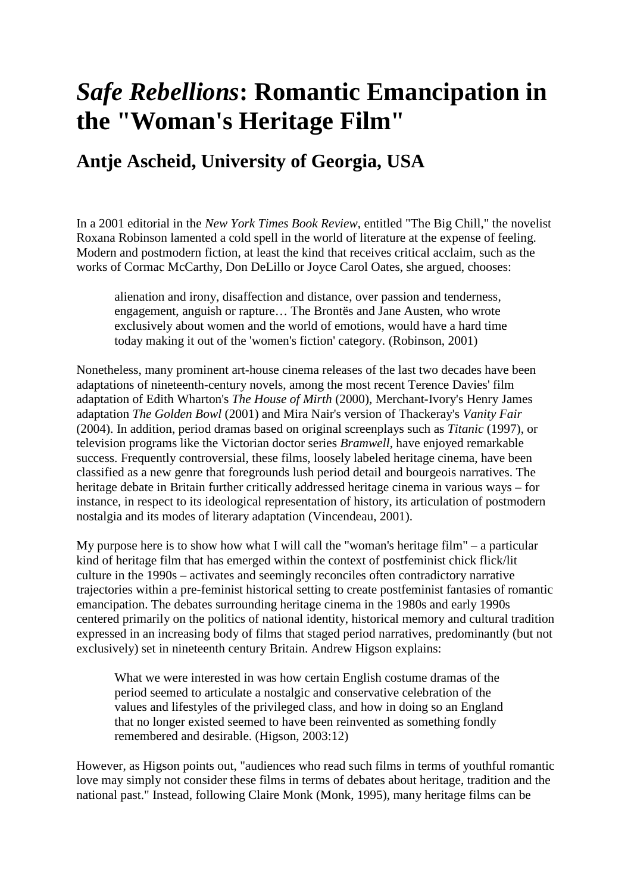# *Safe Rebellions***: Romantic Emancipation in the "Woman's Heritage Film"**

## **Antje Ascheid, University of Georgia, USA**

In a 2001 editorial in the *New York Times Book Review*, entitled "The Big Chill," the novelist Roxana Robinson lamented a cold spell in the world of literature at the expense of feeling. Modern and postmodern fiction, at least the kind that receives critical acclaim, such as the works of Cormac McCarthy, Don DeLillo or Joyce Carol Oates, she argued, chooses:

alienation and irony, disaffection and distance, over passion and tenderness, engagement, anguish or rapture… The Brontës and Jane Austen, who wrote exclusively about women and the world of emotions, would have a hard time today making it out of the 'women's fiction' category. (Robinson, 2001)

Nonetheless, many prominent art-house cinema releases of the last two decades have been adaptations of nineteenth-century novels, among the most recent Terence Davies' film adaptation of Edith Wharton's *The House of Mirth* (2000), Merchant-Ivory's Henry James adaptation *The Golden Bowl* (2001) and Mira Nair's version of Thackeray's *Vanity Fair* (2004). In addition, period dramas based on original screenplays such as *Titanic* (1997), or television programs like the Victorian doctor series *Bramwell*, have enjoyed remarkable success. Frequently controversial, these films, loosely labeled heritage cinema, have been classified as a new genre that foregrounds lush period detail and bourgeois narratives. The heritage debate in Britain further critically addressed heritage cinema in various ways – for instance, in respect to its ideological representation of history, its articulation of postmodern nostalgia and its modes of literary adaptation (Vincendeau, 2001).

My purpose here is to show how what I will call the "woman's heritage film" – a particular kind of heritage film that has emerged within the context of postfeminist chick flick/lit culture in the 1990s – activates and seemingly reconciles often contradictory narrative trajectories within a pre-feminist historical setting to create postfeminist fantasies of romantic emancipation. The debates surrounding heritage cinema in the 1980s and early 1990s centered primarily on the politics of national identity, historical memory and cultural tradition expressed in an increasing body of films that staged period narratives, predominantly (but not exclusively) set in nineteenth century Britain. Andrew Higson explains:

What we were interested in was how certain English costume dramas of the period seemed to articulate a nostalgic and conservative celebration of the values and lifestyles of the privileged class, and how in doing so an England that no longer existed seemed to have been reinvented as something fondly remembered and desirable. (Higson, 2003:12)

However, as Higson points out, "audiences who read such films in terms of youthful romantic love may simply not consider these films in terms of debates about heritage, tradition and the national past." Instead, following Claire Monk (Monk, 1995), many heritage films can be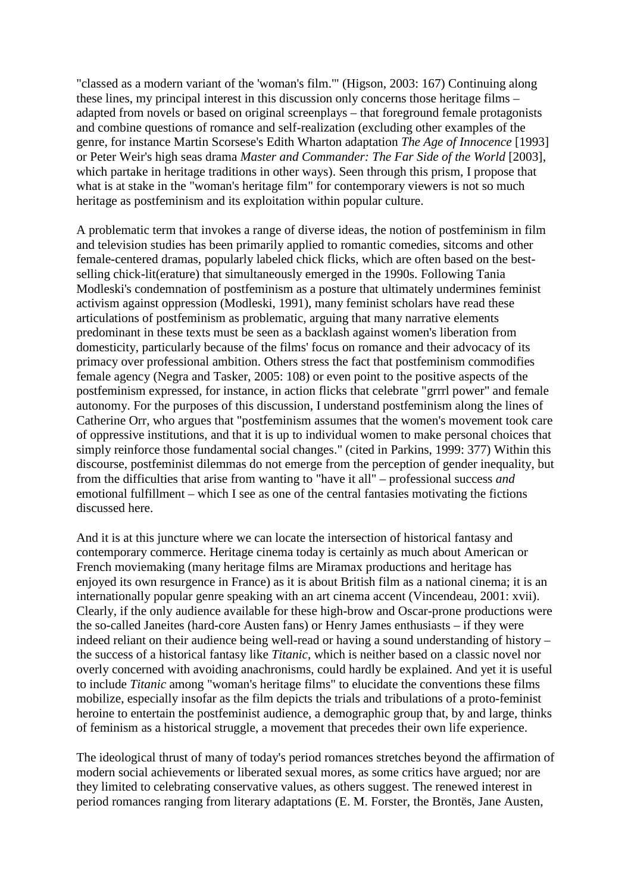"classed as a modern variant of the 'woman's film.'" (Higson, 2003: 167) Continuing along these lines, my principal interest in this discussion only concerns those heritage films – adapted from novels or based on original screenplays – that foreground female protagonists and combine questions of romance and self-realization (excluding other examples of the genre, for instance Martin Scorsese's Edith Wharton adaptation *The Age of Innocence* [1993] or Peter Weir's high seas drama *Master and Commander: The Far Side of the World* [2003], which partake in heritage traditions in other ways). Seen through this prism, I propose that what is at stake in the "woman's heritage film" for contemporary viewers is not so much heritage as postfeminism and its exploitation within popular culture.

A problematic term that invokes a range of diverse ideas, the notion of postfeminism in film and television studies has been primarily applied to romantic comedies, sitcoms and other female-centered dramas, popularly labeled chick flicks, which are often based on the bestselling chick-lit(erature) that simultaneously emerged in the 1990s. Following Tania Modleski's condemnation of postfeminism as a posture that ultimately undermines feminist activism against oppression (Modleski, 1991), many feminist scholars have read these articulations of postfeminism as problematic, arguing that many narrative elements predominant in these texts must be seen as a backlash against women's liberation from domesticity, particularly because of the films' focus on romance and their advocacy of its primacy over professional ambition. Others stress the fact that postfeminism commodifies female agency (Negra and Tasker, 2005: 108) or even point to the positive aspects of the postfeminism expressed, for instance, in action flicks that celebrate "grrrl power" and female autonomy. For the purposes of this discussion, I understand postfeminism along the lines of Catherine Orr, who argues that "postfeminism assumes that the women's movement took care of oppressive institutions, and that it is up to individual women to make personal choices that simply reinforce those fundamental social changes." (cited in Parkins, 1999: 377) Within this discourse, postfeminist dilemmas do not emerge from the perception of gender inequality, but from the difficulties that arise from wanting to "have it all" – professional success *and* emotional fulfillment – which I see as one of the central fantasies motivating the fictions discussed here.

And it is at this juncture where we can locate the intersection of historical fantasy and contemporary commerce. Heritage cinema today is certainly as much about American or French moviemaking (many heritage films are Miramax productions and heritage has enjoyed its own resurgence in France) as it is about British film as a national cinema; it is an internationally popular genre speaking with an art cinema accent (Vincendeau, 2001: xvii). Clearly, if the only audience available for these high-brow and Oscar-prone productions were the so-called Janeites (hard-core Austen fans) or Henry James enthusiasts – if they were indeed reliant on their audience being well-read or having a sound understanding of history – the success of a historical fantasy like *Titanic*, which is neither based on a classic novel nor overly concerned with avoiding anachronisms, could hardly be explained. And yet it is useful to include *Titanic* among "woman's heritage films" to elucidate the conventions these films mobilize, especially insofar as the film depicts the trials and tribulations of a proto-feminist heroine to entertain the postfeminist audience, a demographic group that, by and large, thinks of feminism as a historical struggle, a movement that precedes their own life experience.

The ideological thrust of many of today's period romances stretches beyond the affirmation of modern social achievements or liberated sexual mores, as some critics have argued; nor are they limited to celebrating conservative values, as others suggest. The renewed interest in period romances ranging from literary adaptations (E. M. Forster, the Brontës, Jane Austen,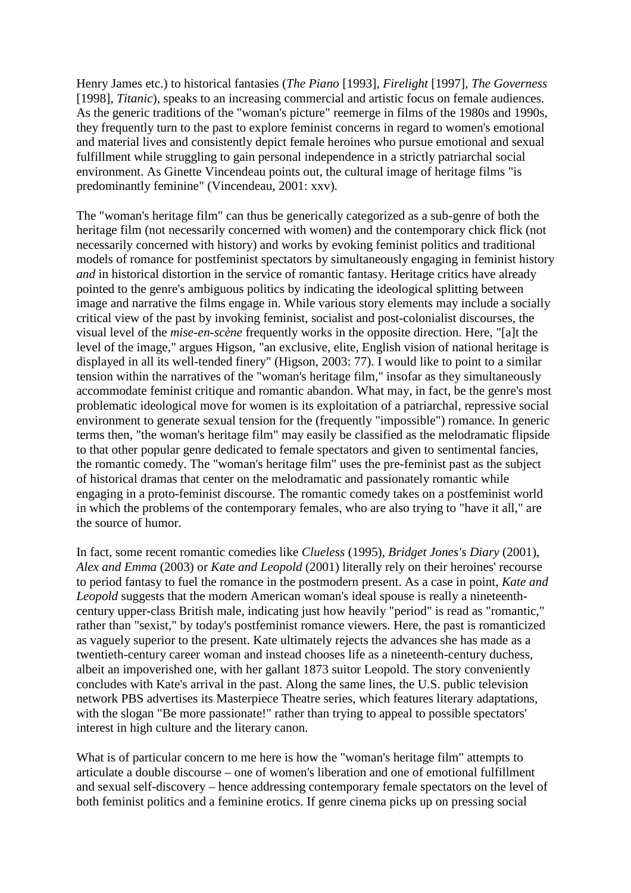Henry James etc.) to historical fantasies (*The Piano* [1993], *Firelight* [1997], *The Governess* [1998], *Titanic*), speaks to an increasing commercial and artistic focus on female audiences. As the generic traditions of the "woman's picture" reemerge in films of the 1980s and 1990s, they frequently turn to the past to explore feminist concerns in regard to women's emotional and material lives and consistently depict female heroines who pursue emotional and sexual fulfillment while struggling to gain personal independence in a strictly patriarchal social environment. As Ginette Vincendeau points out, the cultural image of heritage films "is predominantly feminine" (Vincendeau, 2001: xxv).

The "woman's heritage film" can thus be generically categorized as a sub-genre of both the heritage film (not necessarily concerned with women) and the contemporary chick flick (not necessarily concerned with history) and works by evoking feminist politics and traditional models of romance for postfeminist spectators by simultaneously engaging in feminist history *and* in historical distortion in the service of romantic fantasy. Heritage critics have already pointed to the genre's ambiguous politics by indicating the ideological splitting between image and narrative the films engage in. While various story elements may include a socially critical view of the past by invoking feminist, socialist and post-colonialist discourses, the visual level of the *mise-en-scène* frequently works in the opposite direction. Here, "[a]t the level of the image," argues Higson, "an exclusive, elite, English vision of national heritage is displayed in all its well-tended finery" (Higson, 2003: 77). I would like to point to a similar tension within the narratives of the "woman's heritage film," insofar as they simultaneously accommodate feminist critique and romantic abandon. What may, in fact, be the genre's most problematic ideological move for women is its exploitation of a patriarchal, repressive social environment to generate sexual tension for the (frequently "impossible") romance. In generic terms then, "the woman's heritage film" may easily be classified as the melodramatic flipside to that other popular genre dedicated to female spectators and given to sentimental fancies, the romantic comedy. The "woman's heritage film" uses the pre-feminist past as the subject of historical dramas that center on the melodramatic and passionately romantic while engaging in a proto-feminist discourse. The romantic comedy takes on a postfeminist world in which the problems of the contemporary females, who are also trying to "have it all," are the source of humor.

In fact, some recent romantic comedies like *Clueless* (1995), *Bridget Jones's Diary* (2001), *Alex and Emma* (2003) or *Kate and Leopold* (2001) literally rely on their heroines' recourse to period fantasy to fuel the romance in the postmodern present. As a case in point, *Kate and Leopold* suggests that the modern American woman's ideal spouse is really a nineteenthcentury upper-class British male, indicating just how heavily "period" is read as "romantic," rather than "sexist," by today's postfeminist romance viewers. Here, the past is romanticized as vaguely superior to the present. Kate ultimately rejects the advances she has made as a twentieth-century career woman and instead chooses life as a nineteenth-century duchess, albeit an impoverished one, with her gallant 1873 suitor Leopold. The story conveniently concludes with Kate's arrival in the past. Along the same lines, the U.S. public television network PBS advertises its Masterpiece Theatre series, which features literary adaptations, with the slogan "Be more passionate!" rather than trying to appeal to possible spectators' interest in high culture and the literary canon.

What is of particular concern to me here is how the "woman's heritage film" attempts to articulate a double discourse – one of women's liberation and one of emotional fulfillment and sexual self-discovery – hence addressing contemporary female spectators on the level of both feminist politics and a feminine erotics. If genre cinema picks up on pressing social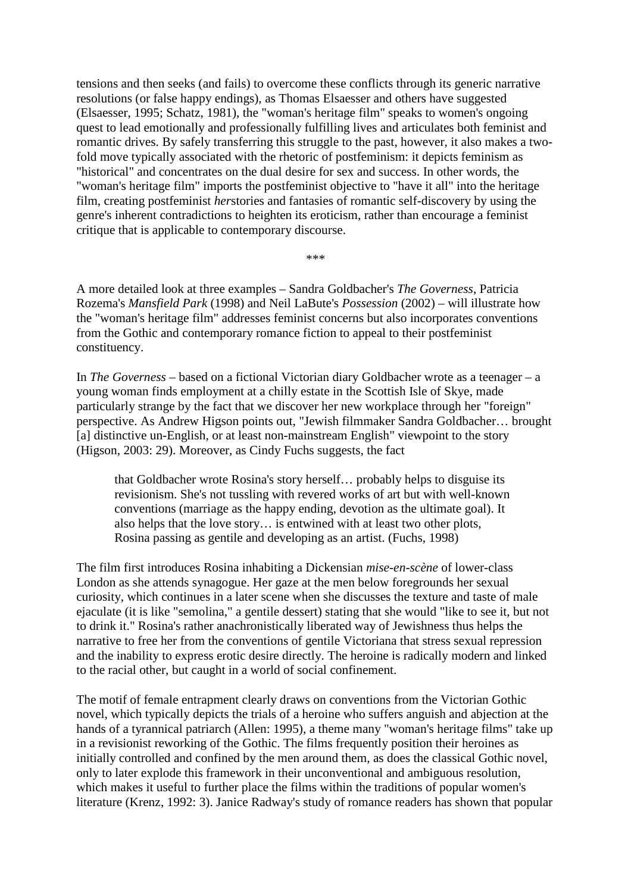tensions and then seeks (and fails) to overcome these conflicts through its generic narrative resolutions (or false happy endings), as Thomas Elsaesser and others have suggested (Elsaesser, 1995; Schatz, 1981), the "woman's heritage film" speaks to women's ongoing quest to lead emotionally and professionally fulfilling lives and articulates both feminist and romantic drives. By safely transferring this struggle to the past, however, it also makes a twofold move typically associated with the rhetoric of postfeminism: it depicts feminism as "historical" and concentrates on the dual desire for sex and success. In other words, the "woman's heritage film" imports the postfeminist objective to "have it all" into the heritage film, creating postfeminist *her*stories and fantasies of romantic self-discovery by using the genre's inherent contradictions to heighten its eroticism, rather than encourage a feminist critique that is applicable to contemporary discourse.

\*\*\*

A more detailed look at three examples – Sandra Goldbacher's *The Governess*, Patricia Rozema's *Mansfield Park* (1998) and Neil LaBute's *Possession* (2002) – will illustrate how the "woman's heritage film" addresses feminist concerns but also incorporates conventions from the Gothic and contemporary romance fiction to appeal to their postfeminist constituency.

In *The Governess* – based on a fictional Victorian diary Goldbacher wrote as a teenager – a young woman finds employment at a chilly estate in the Scottish Isle of Skye, made particularly strange by the fact that we discover her new workplace through her "foreign" perspective. As Andrew Higson points out, "Jewish filmmaker Sandra Goldbacher… brought [a] distinctive un-English, or at least non-mainstream English" viewpoint to the story (Higson, 2003: 29). Moreover, as Cindy Fuchs suggests, the fact

that Goldbacher wrote Rosina's story herself… probably helps to disguise its revisionism. She's not tussling with revered works of art but with well-known conventions (marriage as the happy ending, devotion as the ultimate goal). It also helps that the love story… is entwined with at least two other plots, Rosina passing as gentile and developing as an artist. (Fuchs, 1998)

The film first introduces Rosina inhabiting a Dickensian *mise-en-scène* of lower-class London as she attends synagogue. Her gaze at the men below foregrounds her sexual curiosity, which continues in a later scene when she discusses the texture and taste of male ejaculate (it is like "semolina," a gentile dessert) stating that she would "like to see it, but not to drink it." Rosina's rather anachronistically liberated way of Jewishness thus helps the narrative to free her from the conventions of gentile Victoriana that stress sexual repression and the inability to express erotic desire directly. The heroine is radically modern and linked to the racial other, but caught in a world of social confinement.

The motif of female entrapment clearly draws on conventions from the Victorian Gothic novel, which typically depicts the trials of a heroine who suffers anguish and abjection at the hands of a tyrannical patriarch (Allen: 1995), a theme many "woman's heritage films" take up in a revisionist reworking of the Gothic. The films frequently position their heroines as initially controlled and confined by the men around them, as does the classical Gothic novel, only to later explode this framework in their unconventional and ambiguous resolution, which makes it useful to further place the films within the traditions of popular women's literature (Krenz, 1992: 3). Janice Radway's study of romance readers has shown that popular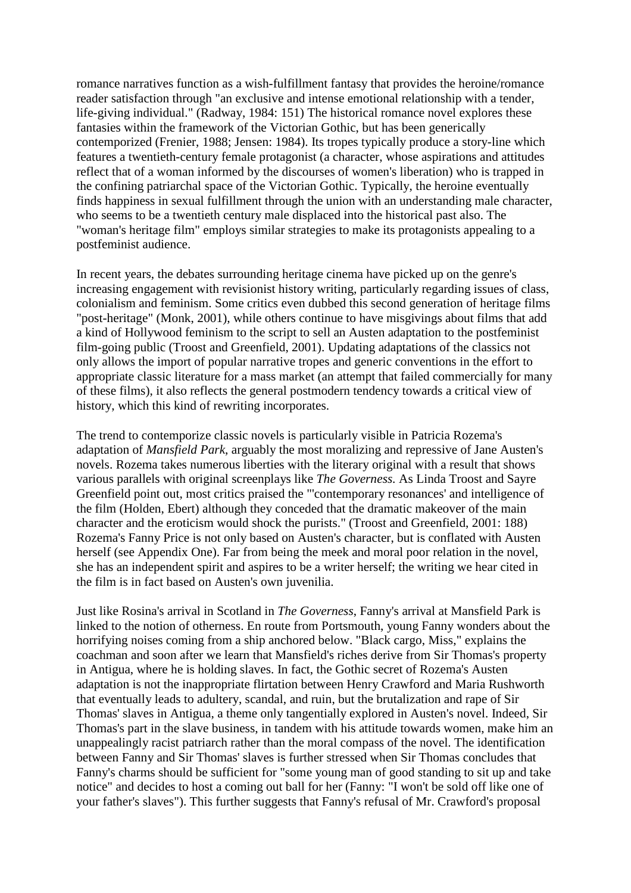romance narratives function as a wish-fulfillment fantasy that provides the heroine/romance reader satisfaction through "an exclusive and intense emotional relationship with a tender, life-giving individual." (Radway, 1984: 151) The historical romance novel explores these fantasies within the framework of the Victorian Gothic, but has been generically contemporized (Frenier, 1988; Jensen: 1984). Its tropes typically produce a story-line which features a twentieth-century female protagonist (a character, whose aspirations and attitudes reflect that of a woman informed by the discourses of women's liberation) who is trapped in the confining patriarchal space of the Victorian Gothic. Typically, the heroine eventually finds happiness in sexual fulfillment through the union with an understanding male character, who seems to be a twentieth century male displaced into the historical past also. The "woman's heritage film" employs similar strategies to make its protagonists appealing to a postfeminist audience.

In recent years, the debates surrounding heritage cinema have picked up on the genre's increasing engagement with revisionist history writing, particularly regarding issues of class, colonialism and feminism. Some critics even dubbed this second generation of heritage films "post-heritage" (Monk, 2001), while others continue to have misgivings about films that add a kind of Hollywood feminism to the script to sell an Austen adaptation to the postfeminist film-going public (Troost and Greenfield, 2001). Updating adaptations of the classics not only allows the import of popular narrative tropes and generic conventions in the effort to appropriate classic literature for a mass market (an attempt that failed commercially for many of these films), it also reflects the general postmodern tendency towards a critical view of history, which this kind of rewriting incorporates.

The trend to contemporize classic novels is particularly visible in Patricia Rozema's adaptation of *Mansfield Park*, arguably the most moralizing and repressive of Jane Austen's novels. Rozema takes numerous liberties with the literary original with a result that shows various parallels with original screenplays like *The Governess.* As Linda Troost and Sayre Greenfield point out, most critics praised the "'contemporary resonances' and intelligence of the film (Holden, Ebert) although they conceded that the dramatic makeover of the main character and the eroticism would shock the purists." (Troost and Greenfield, 2001: 188) Rozema's Fanny Price is not only based on Austen's character, but is conflated with Austen herself (see Appendix One). Far from being the meek and moral poor relation in the novel, she has an independent spirit and aspires to be a writer herself; the writing we hear cited in the film is in fact based on Austen's own juvenilia.

Just like Rosina's arrival in Scotland in *The Governess*, Fanny's arrival at Mansfield Park is linked to the notion of otherness. En route from Portsmouth, young Fanny wonders about the horrifying noises coming from a ship anchored below. "Black cargo, Miss," explains the coachman and soon after we learn that Mansfield's riches derive from Sir Thomas's property in Antigua, where he is holding slaves. In fact, the Gothic secret of Rozema's Austen adaptation is not the inappropriate flirtation between Henry Crawford and Maria Rushworth that eventually leads to adultery, scandal, and ruin, but the brutalization and rape of Sir Thomas' slaves in Antigua, a theme only tangentially explored in Austen's novel. Indeed, Sir Thomas's part in the slave business, in tandem with his attitude towards women, make him an unappealingly racist patriarch rather than the moral compass of the novel. The identification between Fanny and Sir Thomas' slaves is further stressed when Sir Thomas concludes that Fanny's charms should be sufficient for "some young man of good standing to sit up and take notice" and decides to host a coming out ball for her (Fanny: "I won't be sold off like one of your father's slaves"). This further suggests that Fanny's refusal of Mr. Crawford's proposal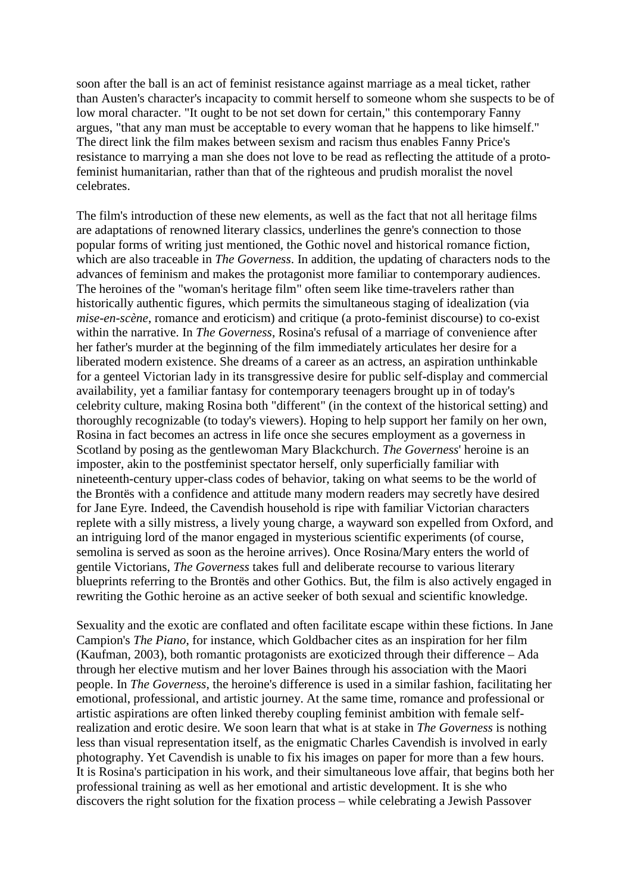soon after the ball is an act of feminist resistance against marriage as a meal ticket, rather than Austen's character's incapacity to commit herself to someone whom she suspects to be of low moral character. "It ought to be not set down for certain," this contemporary Fanny argues, "that any man must be acceptable to every woman that he happens to like himself." The direct link the film makes between sexism and racism thus enables Fanny Price's resistance to marrying a man she does not love to be read as reflecting the attitude of a protofeminist humanitarian, rather than that of the righteous and prudish moralist the novel celebrates.

The film's introduction of these new elements, as well as the fact that not all heritage films are adaptations of renowned literary classics, underlines the genre's connection to those popular forms of writing just mentioned, the Gothic novel and historical romance fiction, which are also traceable in *The Governess*. In addition, the updating of characters nods to the advances of feminism and makes the protagonist more familiar to contemporary audiences. The heroines of the "woman's heritage film" often seem like time-travelers rather than historically authentic figures, which permits the simultaneous staging of idealization (via *mise-en-scène*, romance and eroticism) and critique (a proto-feminist discourse) to co-exist within the narrative. In *The Governess*, Rosina's refusal of a marriage of convenience after her father's murder at the beginning of the film immediately articulates her desire for a liberated modern existence. She dreams of a career as an actress, an aspiration unthinkable for a genteel Victorian lady in its transgressive desire for public self-display and commercial availability, yet a familiar fantasy for contemporary teenagers brought up in of today's celebrity culture, making Rosina both "different" (in the context of the historical setting) and thoroughly recognizable (to today's viewers). Hoping to help support her family on her own, Rosina in fact becomes an actress in life once she secures employment as a governess in Scotland by posing as the gentlewoman Mary Blackchurch. *The Governess*' heroine is an imposter, akin to the postfeminist spectator herself, only superficially familiar with nineteenth-century upper-class codes of behavior, taking on what seems to be the world of the Brontës with a confidence and attitude many modern readers may secretly have desired for Jane Eyre. Indeed, the Cavendish household is ripe with familiar Victorian characters replete with a silly mistress, a lively young charge, a wayward son expelled from Oxford, and an intriguing lord of the manor engaged in mysterious scientific experiments (of course, semolina is served as soon as the heroine arrives). Once Rosina/Mary enters the world of gentile Victorians, *The Governess* takes full and deliberate recourse to various literary blueprints referring to the Brontës and other Gothics. But, the film is also actively engaged in rewriting the Gothic heroine as an active seeker of both sexual and scientific knowledge.

Sexuality and the exotic are conflated and often facilitate escape within these fictions. In Jane Campion's *The Piano*, for instance, which Goldbacher cites as an inspiration for her film (Kaufman, 2003), both romantic protagonists are exoticized through their difference – Ada through her elective mutism and her lover Baines through his association with the Maori people. In *The Governess*, the heroine's difference is used in a similar fashion, facilitating her emotional, professional, and artistic journey. At the same time, romance and professional or artistic aspirations are often linked thereby coupling feminist ambition with female selfrealization and erotic desire. We soon learn that what is at stake in *The Governess* is nothing less than visual representation itself, as the enigmatic Charles Cavendish is involved in early photography. Yet Cavendish is unable to fix his images on paper for more than a few hours. It is Rosina's participation in his work, and their simultaneous love affair, that begins both her professional training as well as her emotional and artistic development. It is she who discovers the right solution for the fixation process – while celebrating a Jewish Passover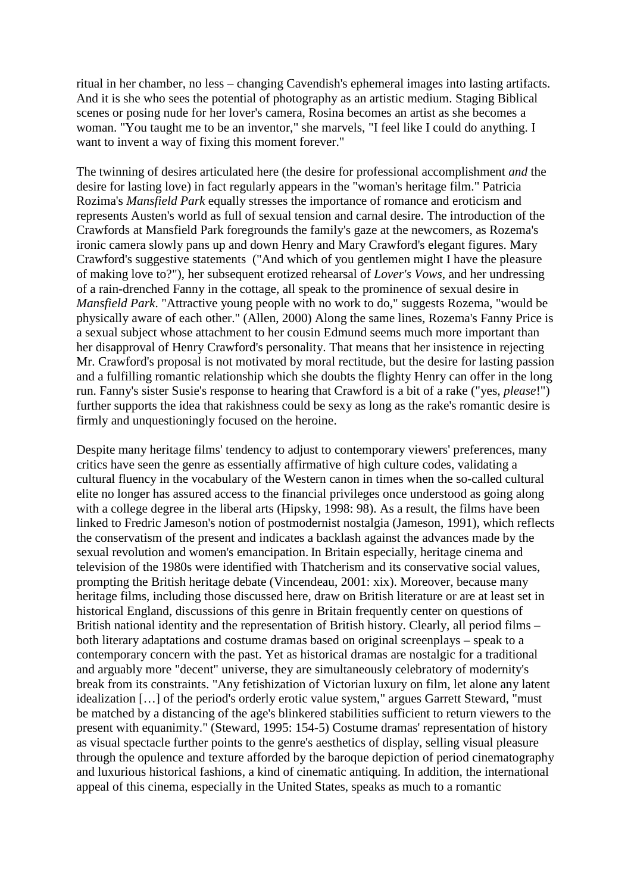ritual in her chamber, no less – changing Cavendish's ephemeral images into lasting artifacts. And it is she who sees the potential of photography as an artistic medium. Staging Biblical scenes or posing nude for her lover's camera, Rosina becomes an artist as she becomes a woman. "You taught me to be an inventor," she marvels, "I feel like I could do anything. I want to invent a way of fixing this moment forever."

The twinning of desires articulated here (the desire for professional accomplishment *and* the desire for lasting love) in fact regularly appears in the "woman's heritage film." Patricia Rozima's *Mansfield Park* equally stresses the importance of romance and eroticism and represents Austen's world as full of sexual tension and carnal desire. The introduction of the Crawfords at Mansfield Park foregrounds the family's gaze at the newcomers, as Rozema's ironic camera slowly pans up and down Henry and Mary Crawford's elegant figures. Mary Crawford's suggestive statements ("And which of you gentlemen might I have the pleasure of making love to?"), her subsequent erotized rehearsal of *Lover's Vows*, and her undressing of a rain-drenched Fanny in the cottage, all speak to the prominence of sexual desire in *Mansfield Park*. "Attractive young people with no work to do," suggests Rozema, "would be physically aware of each other." (Allen, 2000) Along the same lines, Rozema's Fanny Price is a sexual subject whose attachment to her cousin Edmund seems much more important than her disapproval of Henry Crawford's personality. That means that her insistence in rejecting Mr. Crawford's proposal is not motivated by moral rectitude, but the desire for lasting passion and a fulfilling romantic relationship which she doubts the flighty Henry can offer in the long run. Fanny's sister Susie's response to hearing that Crawford is a bit of a rake ("yes, *please*!") further supports the idea that rakishness could be sexy as long as the rake's romantic desire is firmly and unquestioningly focused on the heroine.

Despite many heritage films' tendency to adjust to contemporary viewers' preferences, many critics have seen the genre as essentially affirmative of high culture codes, validating a cultural fluency in the vocabulary of the Western canon in times when the so-called cultural elite no longer has assured access to the financial privileges once understood as going along with a college degree in the liberal arts (Hipsky, 1998: 98). As a result, the films have been linked to Fredric Jameson's notion of postmodernist nostalgia (Jameson, 1991), which reflects the conservatism of the present and indicates a backlash against the advances made by the sexual revolution and women's emancipation. In Britain especially, heritage cinema and television of the 1980s were identified with Thatcherism and its conservative social values, prompting the British heritage debate (Vincendeau, 2001: xix). Moreover, because many heritage films, including those discussed here, draw on British literature or are at least set in historical England, discussions of this genre in Britain frequently center on questions of British national identity and the representation of British history. Clearly, all period films – both literary adaptations and costume dramas based on original screenplays – speak to a contemporary concern with the past. Yet as historical dramas are nostalgic for a traditional and arguably more "decent" universe, they are simultaneously celebratory of modernity's break from its constraints. "Any fetishization of Victorian luxury on film, let alone any latent idealization […] of the period's orderly erotic value system," argues Garrett Steward, "must be matched by a distancing of the age's blinkered stabilities sufficient to return viewers to the present with equanimity." (Steward, 1995: 154-5) Costume dramas' representation of history as visual spectacle further points to the genre's aesthetics of display, selling visual pleasure through the opulence and texture afforded by the baroque depiction of period cinematography and luxurious historical fashions, a kind of cinematic antiquing. In addition, the international appeal of this cinema, especially in the United States, speaks as much to a romantic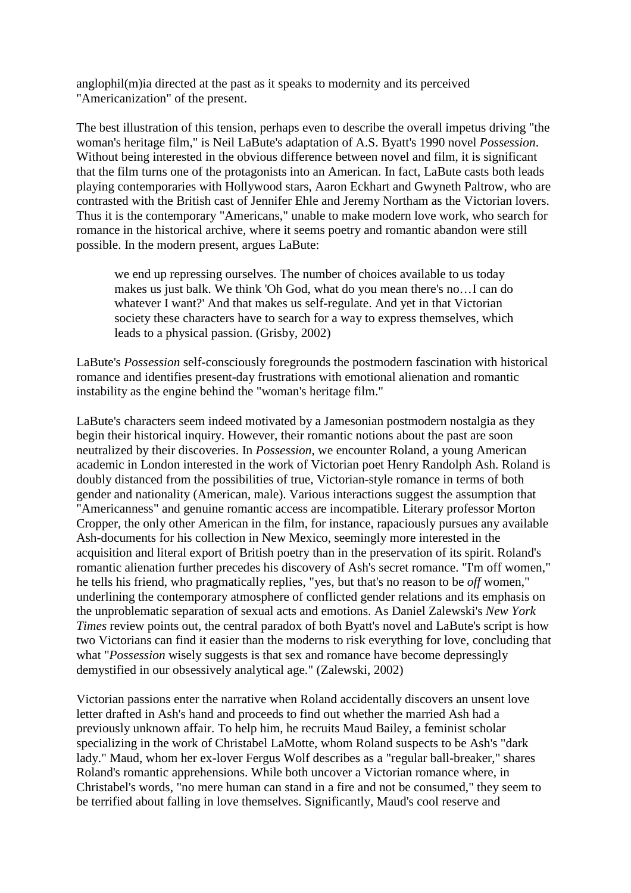anglophil(m)ia directed at the past as it speaks to modernity and its perceived "Americanization" of the present.

The best illustration of this tension, perhaps even to describe the overall impetus driving "the woman's heritage film," is Neil LaBute's adaptation of A.S. Byatt's 1990 novel *Possession*. Without being interested in the obvious difference between novel and film, it is significant that the film turns one of the protagonists into an American. In fact, LaBute casts both leads playing contemporaries with Hollywood stars, Aaron Eckhart and Gwyneth Paltrow, who are contrasted with the British cast of Jennifer Ehle and Jeremy Northam as the Victorian lovers. Thus it is the contemporary "Americans," unable to make modern love work, who search for romance in the historical archive, where it seems poetry and romantic abandon were still possible. In the modern present, argues LaBute:

we end up repressing ourselves. The number of choices available to us today makes us just balk. We think 'Oh God, what do you mean there's no…I can do whatever I want?' And that makes us self-regulate. And yet in that Victorian society these characters have to search for a way to express themselves, which leads to a physical passion. (Grisby, 2002)

LaBute's *Possession* self-consciously foregrounds the postmodern fascination with historical romance and identifies present-day frustrations with emotional alienation and romantic instability as the engine behind the "woman's heritage film."

LaBute's characters seem indeed motivated by a Jamesonian postmodern nostalgia as they begin their historical inquiry. However, their romantic notions about the past are soon neutralized by their discoveries. In *Possession*, we encounter Roland, a young American academic in London interested in the work of Victorian poet Henry Randolph Ash. Roland is doubly distanced from the possibilities of true, Victorian-style romance in terms of both gender and nationality (American, male). Various interactions suggest the assumption that "Americanness" and genuine romantic access are incompatible. Literary professor Morton Cropper, the only other American in the film, for instance, rapaciously pursues any available Ash-documents for his collection in New Mexico, seemingly more interested in the acquisition and literal export of British poetry than in the preservation of its spirit. Roland's romantic alienation further precedes his discovery of Ash's secret romance. "I'm off women," he tells his friend, who pragmatically replies, "yes, but that's no reason to be *off* women," underlining the contemporary atmosphere of conflicted gender relations and its emphasis on the unproblematic separation of sexual acts and emotions. As Daniel Zalewski's *New York Times* review points out, the central paradox of both Byatt's novel and LaBute's script is how two Victorians can find it easier than the moderns to risk everything for love, concluding that what "*Possession* wisely suggests is that sex and romance have become depressingly demystified in our obsessively analytical age." (Zalewski, 2002)

Victorian passions enter the narrative when Roland accidentally discovers an unsent love letter drafted in Ash's hand and proceeds to find out whether the married Ash had a previously unknown affair. To help him, he recruits Maud Bailey, a feminist scholar specializing in the work of Christabel LaMotte, whom Roland suspects to be Ash's "dark lady." Maud, whom her ex-lover Fergus Wolf describes as a "regular ball-breaker," shares Roland's romantic apprehensions. While both uncover a Victorian romance where, in Christabel's words, "no mere human can stand in a fire and not be consumed," they seem to be terrified about falling in love themselves. Significantly, Maud's cool reserve and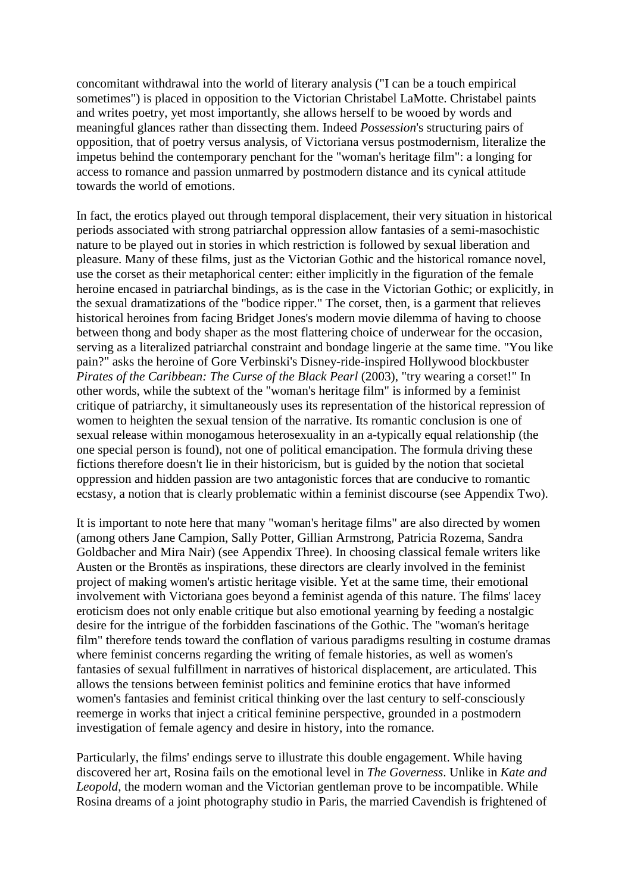concomitant withdrawal into the world of literary analysis ("I can be a touch empirical sometimes") is placed in opposition to the Victorian Christabel LaMotte. Christabel paints and writes poetry, yet most importantly, she allows herself to be wooed by words and meaningful glances rather than dissecting them. Indeed *Possession*'s structuring pairs of opposition, that of poetry versus analysis, of Victoriana versus postmodernism, literalize the impetus behind the contemporary penchant for the "woman's heritage film": a longing for access to romance and passion unmarred by postmodern distance and its cynical attitude towards the world of emotions.

In fact, the erotics played out through temporal displacement, their very situation in historical periods associated with strong patriarchal oppression allow fantasies of a semi-masochistic nature to be played out in stories in which restriction is followed by sexual liberation and pleasure. Many of these films, just as the Victorian Gothic and the historical romance novel, use the corset as their metaphorical center: either implicitly in the figuration of the female heroine encased in patriarchal bindings, as is the case in the Victorian Gothic; or explicitly, in the sexual dramatizations of the "bodice ripper." The corset, then, is a garment that relieves historical heroines from facing Bridget Jones's modern movie dilemma of having to choose between thong and body shaper as the most flattering choice of underwear for the occasion, serving as a literalized patriarchal constraint and bondage lingerie at the same time. "You like pain?" asks the heroine of Gore Verbinski's Disney-ride-inspired Hollywood blockbuster *Pirates of the Caribbean: The Curse of the Black Pearl* (2003), "try wearing a corset!" In other words, while the subtext of the "woman's heritage film" is informed by a feminist critique of patriarchy, it simultaneously uses its representation of the historical repression of women to heighten the sexual tension of the narrative. Its romantic conclusion is one of sexual release within monogamous heterosexuality in an a-typically equal relationship (the one special person is found), not one of political emancipation. The formula driving these fictions therefore doesn't lie in their historicism, but is guided by the notion that societal oppression and hidden passion are two antagonistic forces that are conducive to romantic ecstasy, a notion that is clearly problematic within a feminist discourse (see Appendix Two).

It is important to note here that many "woman's heritage films" are also directed by women (among others Jane Campion, Sally Potter, Gillian Armstrong, Patricia Rozema, Sandra Goldbacher and Mira Nair) (see Appendix Three). In choosing classical female writers like Austen or the Brontës as inspirations, these directors are clearly involved in the feminist project of making women's artistic heritage visible. Yet at the same time, their emotional involvement with Victoriana goes beyond a feminist agenda of this nature. The films' lacey eroticism does not only enable critique but also emotional yearning by feeding a nostalgic desire for the intrigue of the forbidden fascinations of the Gothic. The "woman's heritage film" therefore tends toward the conflation of various paradigms resulting in costume dramas where feminist concerns regarding the writing of female histories, as well as women's fantasies of sexual fulfillment in narratives of historical displacement, are articulated. This allows the tensions between feminist politics and feminine erotics that have informed women's fantasies and feminist critical thinking over the last century to self-consciously reemerge in works that inject a critical feminine perspective, grounded in a postmodern investigation of female agency and desire in history, into the romance.

Particularly, the films' endings serve to illustrate this double engagement. While having discovered her art, Rosina fails on the emotional level in *The Governess*. Unlike in *Kate and Leopold*, the modern woman and the Victorian gentleman prove to be incompatible. While Rosina dreams of a joint photography studio in Paris, the married Cavendish is frightened of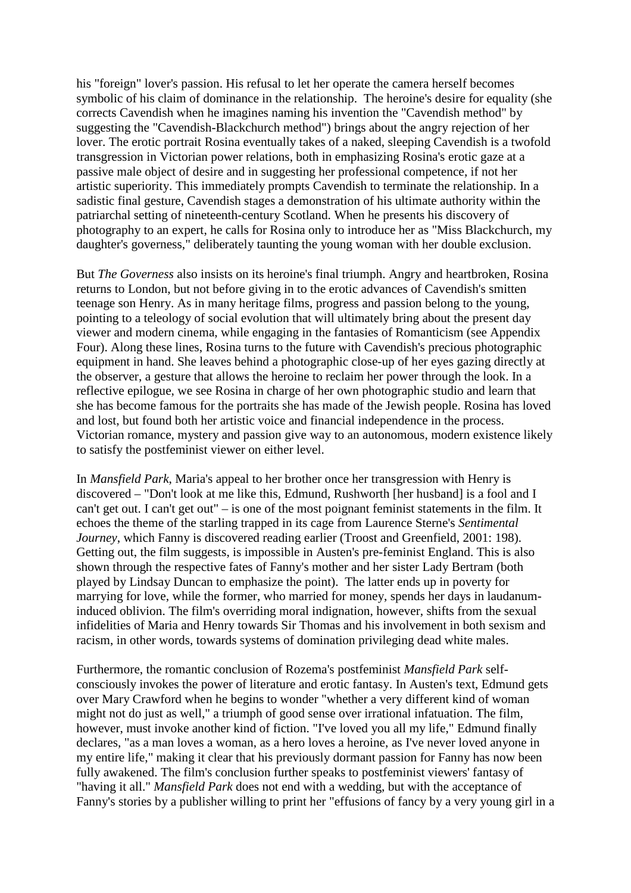his "foreign" lover's passion. His refusal to let her operate the camera herself becomes symbolic of his claim of dominance in the relationship. The heroine's desire for equality (she corrects Cavendish when he imagines naming his invention the "Cavendish method" by suggesting the "Cavendish-Blackchurch method") brings about the angry rejection of her lover. The erotic portrait Rosina eventually takes of a naked, sleeping Cavendish is a twofold transgression in Victorian power relations, both in emphasizing Rosina's erotic gaze at a passive male object of desire and in suggesting her professional competence, if not her artistic superiority. This immediately prompts Cavendish to terminate the relationship. In a sadistic final gesture, Cavendish stages a demonstration of his ultimate authority within the patriarchal setting of nineteenth-century Scotland. When he presents his discovery of photography to an expert, he calls for Rosina only to introduce her as "Miss Blackchurch, my daughter's governess," deliberately taunting the young woman with her double exclusion.

But *The Governess* also insists on its heroine's final triumph. Angry and heartbroken, Rosina returns to London, but not before giving in to the erotic advances of Cavendish's smitten teenage son Henry. As in many heritage films, progress and passion belong to the young, pointing to a teleology of social evolution that will ultimately bring about the present day viewer and modern cinema, while engaging in the fantasies of Romanticism (see Appendix Four). Along these lines, Rosina turns to the future with Cavendish's precious photographic equipment in hand. She leaves behind a photographic close-up of her eyes gazing directly at the observer, a gesture that allows the heroine to reclaim her power through the look. In a reflective epilogue, we see Rosina in charge of her own photographic studio and learn that she has become famous for the portraits she has made of the Jewish people. Rosina has loved and lost, but found both her artistic voice and financial independence in the process. Victorian romance, mystery and passion give way to an autonomous, modern existence likely to satisfy the postfeminist viewer on either level.

In *Mansfield Park*, Maria's appeal to her brother once her transgression with Henry is discovered – "Don't look at me like this, Edmund, Rushworth [her husband] is a fool and I can't get out. I can't get out" – is one of the most poignant feminist statements in the film. It echoes the theme of the starling trapped in its cage from Laurence Sterne's *Sentimental Journey*, which Fanny is discovered reading earlier (Troost and Greenfield, 2001: 198). Getting out, the film suggests, is impossible in Austen's pre-feminist England. This is also shown through the respective fates of Fanny's mother and her sister Lady Bertram (both played by Lindsay Duncan to emphasize the point). The latter ends up in poverty for marrying for love, while the former, who married for money, spends her days in laudanuminduced oblivion. The film's overriding moral indignation, however, shifts from the sexual infidelities of Maria and Henry towards Sir Thomas and his involvement in both sexism and racism, in other words, towards systems of domination privileging dead white males.

Furthermore, the romantic conclusion of Rozema's postfeminist *Mansfield Park* selfconsciously invokes the power of literature and erotic fantasy. In Austen's text, Edmund gets over Mary Crawford when he begins to wonder "whether a very different kind of woman might not do just as well," a triumph of good sense over irrational infatuation. The film, however, must invoke another kind of fiction. "I've loved you all my life," Edmund finally declares, "as a man loves a woman, as a hero loves a heroine, as I've never loved anyone in my entire life," making it clear that his previously dormant passion for Fanny has now been fully awakened. The film's conclusion further speaks to postfeminist viewers' fantasy of "having it all." *Mansfield Park* does not end with a wedding, but with the acceptance of Fanny's stories by a publisher willing to print her "effusions of fancy by a very young girl in a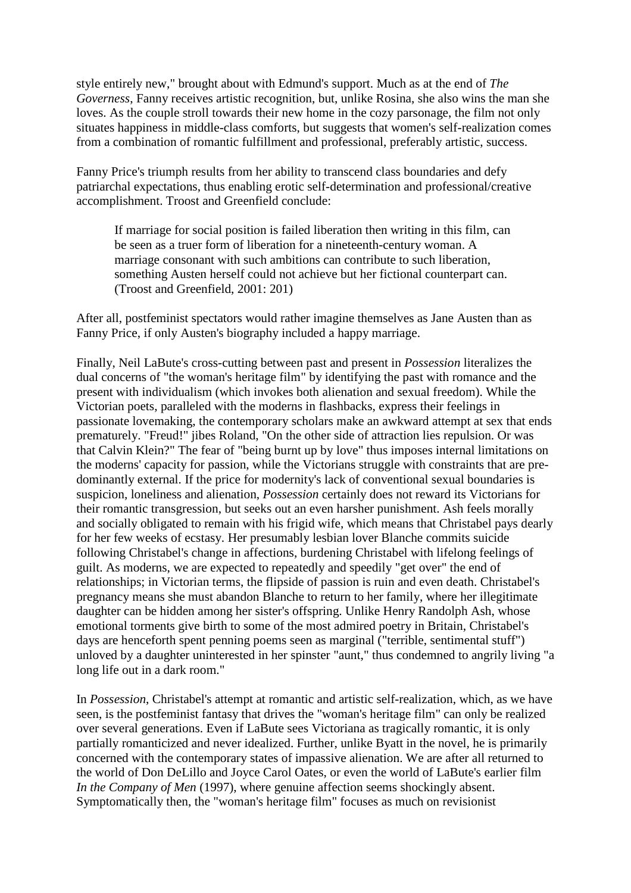style entirely new," brought about with Edmund's support. Much as at the end of *The Governess*, Fanny receives artistic recognition, but, unlike Rosina, she also wins the man she loves. As the couple stroll towards their new home in the cozy parsonage, the film not only situates happiness in middle-class comforts, but suggests that women's self-realization comes from a combination of romantic fulfillment and professional, preferably artistic, success.

Fanny Price's triumph results from her ability to transcend class boundaries and defy patriarchal expectations, thus enabling erotic self-determination and professional/creative accomplishment. Troost and Greenfield conclude:

If marriage for social position is failed liberation then writing in this film, can be seen as a truer form of liberation for a nineteenth-century woman. A marriage consonant with such ambitions can contribute to such liberation, something Austen herself could not achieve but her fictional counterpart can. (Troost and Greenfield, 2001: 201)

After all, postfeminist spectators would rather imagine themselves as Jane Austen than as Fanny Price, if only Austen's biography included a happy marriage.

Finally, Neil LaBute's cross-cutting between past and present in *Possession* literalizes the dual concerns of "the woman's heritage film" by identifying the past with romance and the present with individualism (which invokes both alienation and sexual freedom). While the Victorian poets, paralleled with the moderns in flashbacks, express their feelings in passionate lovemaking, the contemporary scholars make an awkward attempt at sex that ends prematurely. "Freud!" jibes Roland, "On the other side of attraction lies repulsion. Or was that Calvin Klein?" The fear of "being burnt up by love" thus imposes internal limitations on the moderns' capacity for passion, while the Victorians struggle with constraints that are predominantly external. If the price for modernity's lack of conventional sexual boundaries is suspicion, loneliness and alienation, *Possession* certainly does not reward its Victorians for their romantic transgression, but seeks out an even harsher punishment. Ash feels morally and socially obligated to remain with his frigid wife, which means that Christabel pays dearly for her few weeks of ecstasy. Her presumably lesbian lover Blanche commits suicide following Christabel's change in affections, burdening Christabel with lifelong feelings of guilt. As moderns, we are expected to repeatedly and speedily "get over" the end of relationships; in Victorian terms, the flipside of passion is ruin and even death. Christabel's pregnancy means she must abandon Blanche to return to her family, where her illegitimate daughter can be hidden among her sister's offspring. Unlike Henry Randolph Ash, whose emotional torments give birth to some of the most admired poetry in Britain, Christabel's days are henceforth spent penning poems seen as marginal ("terrible, sentimental stuff") unloved by a daughter uninterested in her spinster "aunt," thus condemned to angrily living "a long life out in a dark room."

In *Possession*, Christabel's attempt at romantic and artistic self-realization, which, as we have seen, is the postfeminist fantasy that drives the "woman's heritage film" can only be realized over several generations. Even if LaBute sees Victoriana as tragically romantic, it is only partially romanticized and never idealized. Further, unlike Byatt in the novel, he is primarily concerned with the contemporary states of impassive alienation. We are after all returned to the world of Don DeLillo and Joyce Carol Oates, or even the world of LaBute's earlier film *In the Company of Men* (1997), where genuine affection seems shockingly absent. Symptomatically then, the "woman's heritage film" focuses as much on revisionist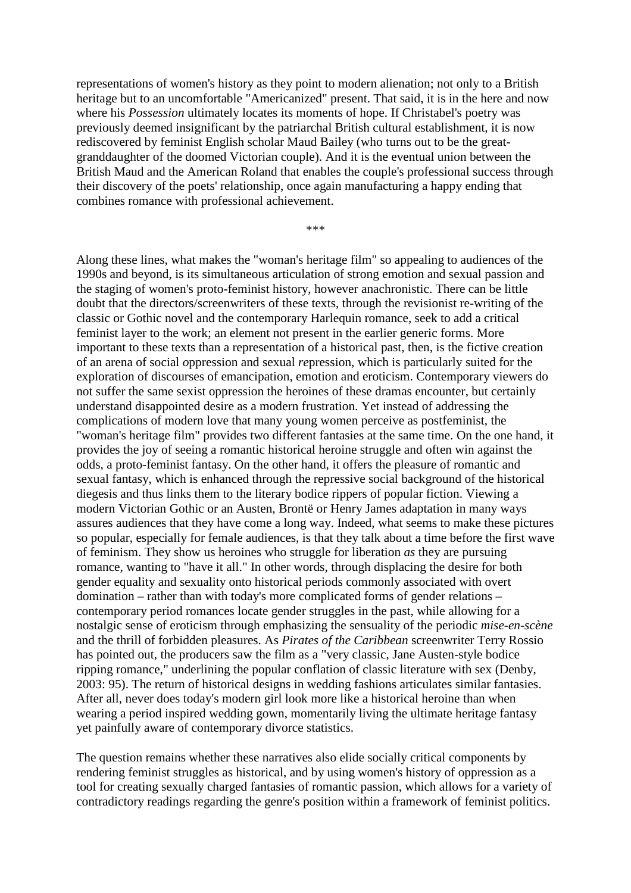representations of women's history as they point to modern alienation; not only to a British heritage but to an uncomfortable "Americanized" present. That said, it is in the here and now where his *Possession* ultimately locates its moments of hope. If Christabel's poetry was previously deemed insignificant by the patriarchal British cultural establishment, it is now rediscovered by feminist English scholar Maud Bailey (who turns out to be the greatgranddaughter of the doomed Victorian couple). And it is the eventual union between the British Maud and the American Roland that enables the couple's professional success through their discovery of the poets' relationship, once again manufacturing a happy ending that combines romance with professional achievement.

\*\*\*

Along these lines, what makes the "woman's heritage film" so appealing to audiences of the 1990s and beyond, is its simultaneous articulation of strong emotion and sexual passion and the staging of women's proto-feminist history, however anachronistic. There can be little doubt that the directors/screenwriters of these texts, through the revisionist re-writing of the classic or Gothic novel and the contemporary Harlequin romance, seek to add a critical feminist layer to the work; an element not present in the earlier generic forms. More important to these texts than a representation of a historical past, then, is the fictive creation of an arena of social *o*ppression and sexual *re*pression, which is particularly suited for the exploration of discourses of emancipation, emotion and eroticism. Contemporary viewers do not suffer the same sexist oppression the heroines of these dramas encounter, but certainly understand disappointed desire as a modern frustration. Yet instead of addressing the complications of modern love that many young women perceive as postfeminist, the "woman's heritage film" provides two different fantasies at the same time. On the one hand, it provides the joy of seeing a romantic historical heroine struggle and often win against the odds, a proto-feminist fantasy. On the other hand, it offers the pleasure of romantic and sexual fantasy, which is enhanced through the repressive social background of the historical diegesis and thus links them to the literary bodice rippers of popular fiction. Viewing a modern Victorian Gothic or an Austen, Brontë or Henry James adaptation in many ways assures audiences that they have come a long way. Indeed, what seems to make these pictures so popular, especially for female audiences, is that they talk about a time before the first wave of feminism. They show us heroines who struggle for liberation *as* they are pursuing romance, wanting to "have it all." In other words, through displacing the desire for both gender equality and sexuality onto historical periods commonly associated with overt domination – rather than with today's more complicated forms of gender relations – contemporary period romances locate gender struggles in the past, while allowing for a nostalgic sense of eroticism through emphasizing the sensuality of the periodic *mise-en-scène* and the thrill of forbidden pleasures. As *Pirates of the Caribbean* screenwriter Terry Rossio has pointed out, the producers saw the film as a "very classic, Jane Austen-style bodice ripping romance," underlining the popular conflation of classic literature with sex (Denby, 2003: 95). The return of historical designs in wedding fashions articulates similar fantasies. After all, never does today's modern girl look more like a historical heroine than when wearing a period inspired wedding gown, momentarily living the ultimate heritage fantasy yet painfully aware of contemporary divorce statistics.

The question remains whether these narratives also elide socially critical components by rendering feminist struggles as historical, and by using women's history of oppression as a tool for creating sexually charged fantasies of romantic passion, which allows for a variety of contradictory readings regarding the genre's position within a framework of feminist politics.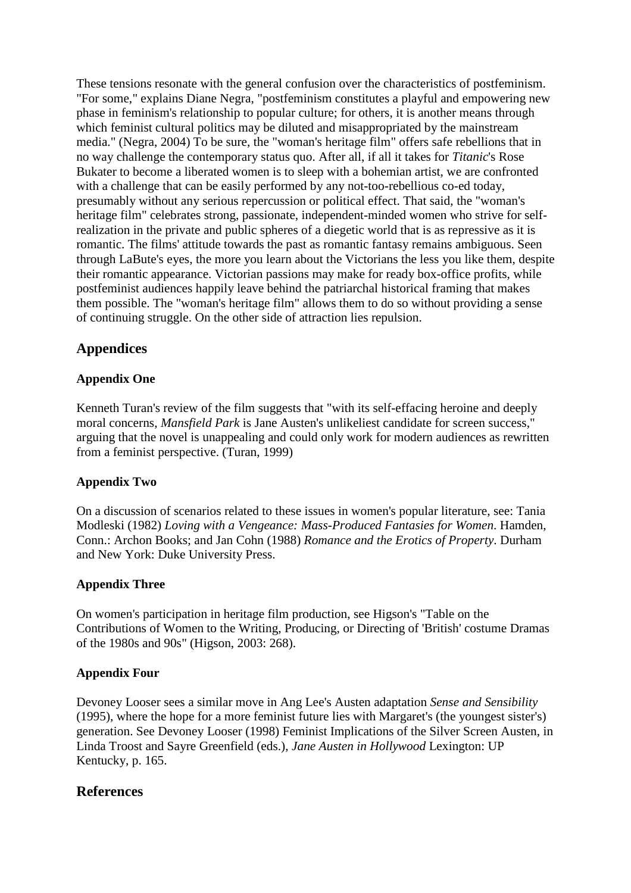These tensions resonate with the general confusion over the characteristics of postfeminism. "For some," explains Diane Negra, "postfeminism constitutes a playful and empowering new phase in feminism's relationship to popular culture; for others, it is another means through which feminist cultural politics may be diluted and misappropriated by the mainstream media." (Negra, 2004) To be sure, the "woman's heritage film" offers safe rebellions that in no way challenge the contemporary status quo. After all, if all it takes for *Titanic*'s Rose Bukater to become a liberated women is to sleep with a bohemian artist, we are confronted with a challenge that can be easily performed by any not-too-rebellious co-ed today, presumably without any serious repercussion or political effect. That said, the "woman's heritage film" celebrates strong, passionate, independent-minded women who strive for selfrealization in the private and public spheres of a diegetic world that is as repressive as it is romantic. The films' attitude towards the past as romantic fantasy remains ambiguous. Seen through LaBute's eyes, the more you learn about the Victorians the less you like them, despite their romantic appearance. Victorian passions may make for ready box-office profits, while postfeminist audiences happily leave behind the patriarchal historical framing that makes them possible. The "woman's heritage film" allows them to do so without providing a sense of continuing struggle. On the other side of attraction lies repulsion.

### **Appendices**

#### **Appendix One**

Kenneth Turan's review of the film suggests that "with its self-effacing heroine and deeply moral concerns, *Mansfield Park* is Jane Austen's unlikeliest candidate for screen success," arguing that the novel is unappealing and could only work for modern audiences as rewritten from a feminist perspective. (Turan, 1999)

#### **Appendix Two**

On a discussion of scenarios related to these issues in women's popular literature, see: Tania Modleski (1982) *Loving with a Vengeance: Mass-Produced Fantasies for Women*. Hamden, Conn.: Archon Books; and Jan Cohn (1988) *Romance and the Erotics of Property*. Durham and New York: Duke University Press.

#### **Appendix Three**

On women's participation in heritage film production, see Higson's "Table on the Contributions of Women to the Writing, Producing, or Directing of 'British' costume Dramas of the 1980s and 90s" (Higson, 2003: 268).

#### **Appendix Four**

Devoney Looser sees a similar move in Ang Lee's Austen adaptation *Sense and Sensibility* (1995), where the hope for a more feminist future lies with Margaret's (the youngest sister's) generation. See Devoney Looser (1998) Feminist Implications of the Silver Screen Austen, in Linda Troost and Sayre Greenfield (eds.), *Jane Austen in Hollywood* Lexington: UP Kentucky, p. 165.

#### **References**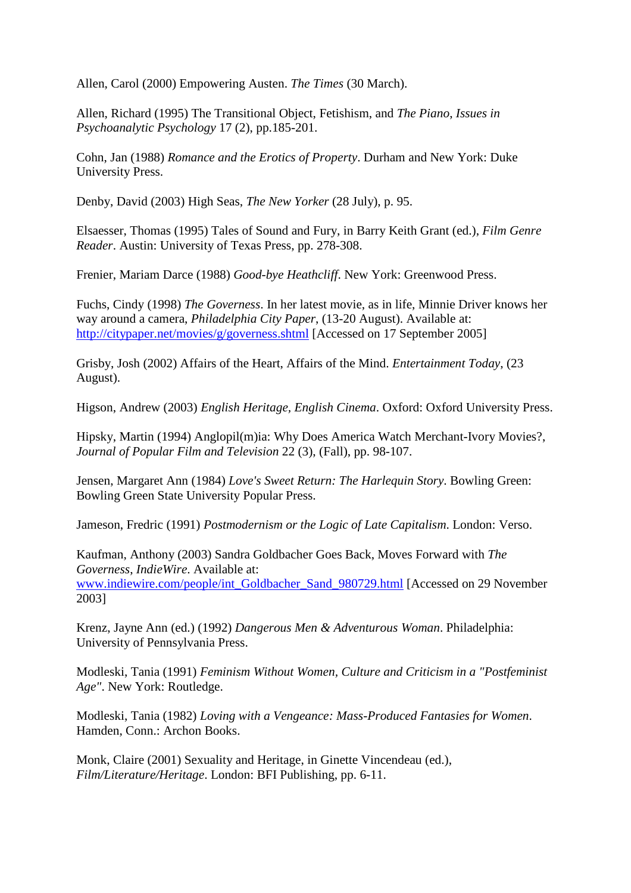Allen, Carol (2000) Empowering Austen. *The Times* (30 March).

Allen, Richard (1995) The Transitional Object, Fetishism, and *The Piano*, *Issues in Psychoanalytic Psychology* 17 (2), pp.185-201.

Cohn, Jan (1988) *Romance and the Erotics of Property*. Durham and New York: Duke University Press.

Denby, David (2003) High Seas, *The New Yorker* (28 July), p. 95.

Elsaesser, Thomas (1995) Tales of Sound and Fury, in Barry Keith Grant (ed.), *Film Genre Reader*. Austin: University of Texas Press, pp. 278-308.

Frenier, Mariam Darce (1988) *Good-bye Heathcliff*. New York: Greenwood Press.

Fuchs, Cindy (1998) *The Governess*. In her latest movie, as in life, Minnie Driver knows her way around a camera, *Philadelphia City Paper*, (13-20 August). Available at: http://citypaper.net/movies/g/governess.shtml [Accessed on 17 September 2005]

Grisby, Josh (2002) Affairs of the Heart, Affairs of the Mind. *Entertainment Today*, (23 August).

Higson, Andrew (2003) *English Heritage, English Cinema*. Oxford: Oxford University Press.

Hipsky, Martin (1994) Anglopil(m)ia: Why Does America Watch Merchant-Ivory Movies?, *Journal of Popular Film and Television* 22 (3), (Fall), pp. 98-107.

Jensen, Margaret Ann (1984) *Love's Sweet Return: The Harlequin Story*. Bowling Green: Bowling Green State University Popular Press.

Jameson, Fredric (1991) *Postmodernism or the Logic of Late Capitalism*. London: Verso.

Kaufman, Anthony (2003) Sandra Goldbacher Goes Back, Moves Forward with *The Governess*, *IndieWire*. Available at: www.indiewire.com/people/int\_Goldbacher\_Sand\_980729.html [Accessed on 29 November 2003]

Krenz, Jayne Ann (ed.) (1992) *Dangerous Men & Adventurous Woman*. Philadelphia: University of Pennsylvania Press.

Modleski, Tania (1991) *Feminism Without Women, Culture and Criticism in a "Postfeminist Age"*. New York: Routledge.

Modleski, Tania (1982) *Loving with a Vengeance: Mass-Produced Fantasies for Women*. Hamden, Conn.: Archon Books.

Monk, Claire (2001) Sexuality and Heritage, in Ginette Vincendeau (ed.), *Film/Literature/Heritage*. London: BFI Publishing, pp. 6-11.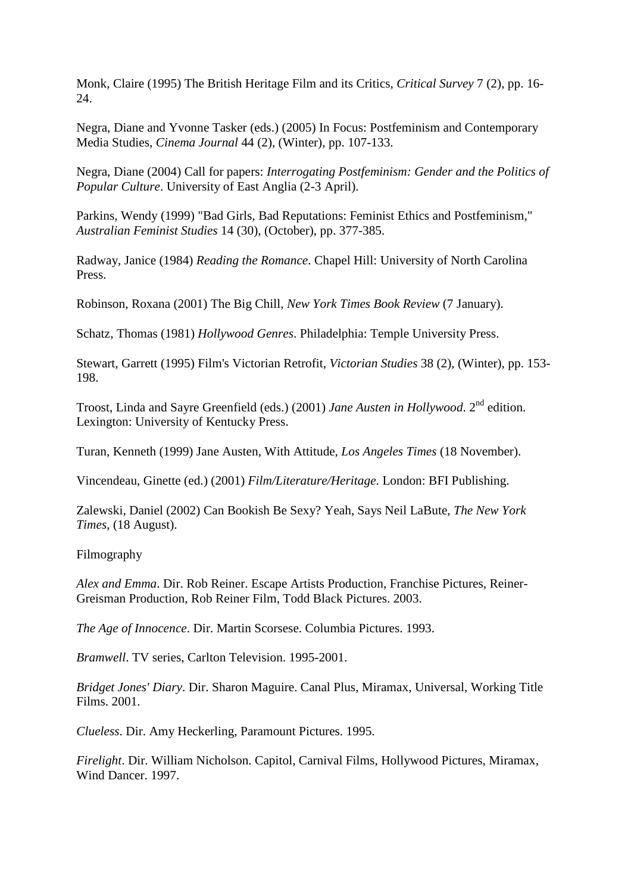Monk, Claire (1995) The British Heritage Film and its Critics, *Critical Survey* 7 (2), pp. 16- 24.

Negra, Diane and Yvonne Tasker (eds.) (2005) In Focus: Postfeminism and Contemporary Media Studies, *Cinema Journal* 44 (2), (Winter), pp. 107-133.

Negra, Diane (2004) Call for papers: *Interrogating Postfeminism: Gender and the Politics of Popular Culture*. University of East Anglia (2-3 April).

Parkins, Wendy (1999) "Bad Girls, Bad Reputations: Feminist Ethics and Postfeminism," *Australian Feminist Studies* 14 (30), (October), pp. 377-385.

Radway, Janice (1984) *Reading the Romance*. Chapel Hill: University of North Carolina Press.

Robinson, Roxana (2001) The Big Chill, *New York Times Book Review* (7 January).

Schatz, Thomas (1981) *Hollywood Genres*. Philadelphia: Temple University Press.

Stewart, Garrett (1995) Film's Victorian Retrofit, *Victorian Studies* 38 (2), (Winter), pp. 153- 198.

Troost, Linda and Sayre Greenfield (eds.) (2001) *Jane Austen in Hollywood*. 2nd edition. Lexington: University of Kentucky Press.

Turan, Kenneth (1999) Jane Austen, With Attitude, *Los Angeles Times* (18 November).

Vincendeau, Ginette (ed.) (2001) *Film/Literature/Heritage*. London: BFI Publishing.

Zalewski, Daniel (2002) Can Bookish Be Sexy? Yeah, Says Neil LaBute, *The New York Times*, (18 August).

Filmography

*Alex and Emma*. Dir. Rob Reiner. Escape Artists Production, Franchise Pictures, Reiner-Greisman Production, Rob Reiner Film, Todd Black Pictures. 2003.

*The Age of Innocence*. Dir. Martin Scorsese. Columbia Pictures. 1993.

*Bramwell*. TV series, Carlton Television. 1995-2001.

*Bridget Jones' Diary*. Dir. Sharon Maguire. Canal Plus, Miramax, Universal, Working Title Films. 2001.

*Clueless*. Dir. Amy Heckerling, Paramount Pictures. 1995.

*Firelight*. Dir. William Nicholson. Capitol, Carnival Films, Hollywood Pictures, Miramax, Wind Dancer. 1997.